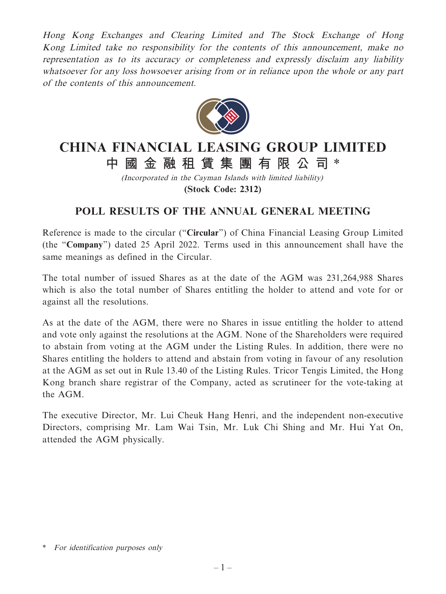Hong Kong Exchanges and Clearing Limited and The Stock Exchange of Hong Kong Limited take no responsibility for the contents of this announcement, make no representation as to its accuracy or completeness and expressly disclaim any liability whatsoever for any loss howsoever arising from or in reliance upon the whole or any part of the contents of this announcement.



## **CHINA FINANCIAL LEASING GROUP LIMITED 中國金融租賃集團有限公 司** \*

(Incorporated in the Cayman Islands with limited liability) **(Stock Code: 2312)**

## **POLL RESULTS OF THE ANNUAL GENERAL MEETING**

Reference is made to the circular ("**Circular**") of China Financial Leasing Group Limited (the "**Company**") dated 25 April 2022. Terms used in this announcement shall have the same meanings as defined in the Circular.

The total number of issued Shares as at the date of the AGM was 231,264,988 Shares which is also the total number of Shares entitling the holder to attend and vote for or against all the resolutions.

As at the date of the AGM, there were no Shares in issue entitling the holder to attend and vote only against the resolutions at the AGM. None of the Shareholders were required to abstain from voting at the AGM under the Listing Rules. In addition, there were no Shares entitling the holders to attend and abstain from voting in favour of any resolution at the AGM as set out in Rule 13.40 of the Listing Rules. Tricor Tengis Limited, the Hong Kong branch share registrar of the Company, acted as scrutineer for the vote-taking at the AGM.

The executive Director, Mr. Lui Cheuk Hang Henri, and the independent non-executive Directors, comprising Mr. Lam Wai Tsin, Mr. Luk Chi Shing and Mr. Hui Yat On, attended the AGM physically.

<sup>\*</sup> For identification purposes only